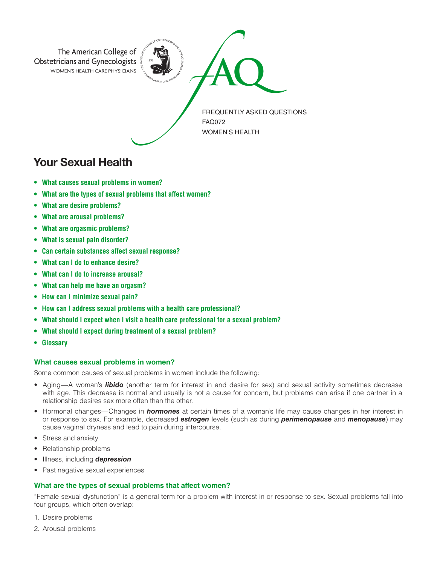

# Your Sexual Health

- **• What causes sexual problems in women?**
- **• What are the types of sexual problems that affect women?**
- **• What are desire problems?**
- **• What are arousal problems?**
- **• What are orgasmic problems?**
- **• What is sexual pain disorder?**
- **• Can certain substances affect sexual response?**
- **• What can I do to enhance desire?**
- **• What can I do to increase arousal?**
- **• What can help me have an orgasm?**
- **• How can I minimize sexual pain?**
- **• How can I address sexual problems with a health care professional?**
- **• What should I expect when I visit a health care professional for a sexual problem?**
- **• What should I expect during treatment of a sexual problem?**
- **• Glossary**

## **What causes sexual problems in women?**

Some common causes of sexual problems in women include the following:

- Aging—A woman's *libido* (another term for interest in and desire for sex) and sexual activity sometimes decrease with age. This decrease is normal and usually is not a cause for concern, but problems can arise if one partner in a relationship desires sex more often than the other.
- Hormonal changes—Changes in *hormones* at certain times of a woman's life may cause changes in her interest in or response to sex. For example, decreased *estrogen* levels (such as during *perimenopause* and *menopause*) may cause vaginal dryness and lead to pain during intercourse.
- Stress and anxiety
- Relationship problems
- Illness, including *depression*
- Past negative sexual experiences

## **What are the types of sexual problems that affect women?**

"Female sexual dysfunction" is a general term for a problem with interest in or response to sex. Sexual problems fall into four groups, which often overlap:

- 1. Desire problems
- 2. Arousal problems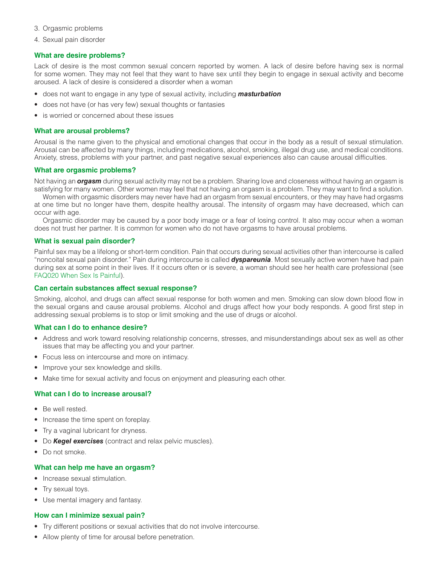- 3. Orgasmic problems
- 4. Sexual pain disorder

## **What are desire problems?**

Lack of desire is the most common sexual concern reported by women. A lack of desire before having sex is normal for some women. They may not feel that they want to have sex until they begin to engage in sexual activity and become aroused. A lack of desire is considered a disorder when a woman

- does not want to engage in any type of sexual activity, including *masturbation*
- does not have (or has very few) sexual thoughts or fantasies
- is worried or concerned about these issues

#### What are arousal problems?

Arousal is the name given to the physical and emotional changes that occur in the body as a result of sexual stimulation. Arousal can be affected by many things, including medications, alcohol, smoking, illegal drug use, and medical conditions. Anxiety, stress, problems with your partner, and past negative sexual experiences also can cause arousal difficulties.

#### **What are orgasmic problems?**

Not having an *orgasm* during sexual activity may not be a problem. Sharing love and closeness without having an orgasm is satisfying for many women. Other women may feel that not having an orgasm is a problem. They may want to find a solution.

Women with orgasmic disorders may never have had an orgasm from sexual encounters, or they may have had orgasms at one time but no longer have them, despite healthy arousal. The intensity of orgasm may have decreased, which can occur with age.

Orgasmic disorder may be caused by a poor body image or a fear of losing control. It also may occur when a woman does not trust her partner. It is common for women who do not have orgasms to have arousal problems.

#### **What is sexual pain disorder?**

Painful sex may be a lifelong or short-term condition. Pain that occurs during sexual activities other than intercourse is called "noncoital sexual pain disorder." Pain during intercourse is called *dyspareunia*. Most sexually active women have had pain during sex at some point in their lives. If it occurs often or is severe, a woman should see her health care professional (see [FAQ020 When Sex Is Painful](https://www.acog.org/Patients/FAQs/When-Sex-Is-Painful)).

#### **Can certain substances affect sexual response?**

Smoking, alcohol, and drugs can affect sexual response for both women and men. Smoking can slow down blood flow in the sexual organs and cause arousal problems. Alcohol and drugs affect how your body responds. A good first step in addressing sexual problems is to stop or limit smoking and the use of drugs or alcohol.

#### **What can I do to enhance desire?**

- Address and work toward resolving relationship concerns, stresses, and misunderstandings about sex as well as other issues that may be affecting you and your partner.
- Focus less on intercourse and more on intimacy.
- Improve your sex knowledge and skills.
- Make time for sexual activity and focus on enjoyment and pleasuring each other.

## **What can I do to increase arousal?**

- Be well rested.
- Increase the time spent on foreplay.
- Try a vaginal lubricant for dryness.
- Do *Kegel exercises* (contract and relax pelvic muscles).
- Do not smoke.

### **What can help me have an orgasm?**

- Increase sexual stimulation.
- Try sexual toys.
- Use mental imagery and fantasy.

#### **How can I minimize sexual pain?**

- Try different positions or sexual activities that do not involve intercourse.
- Allow plenty of time for arousal before penetration.